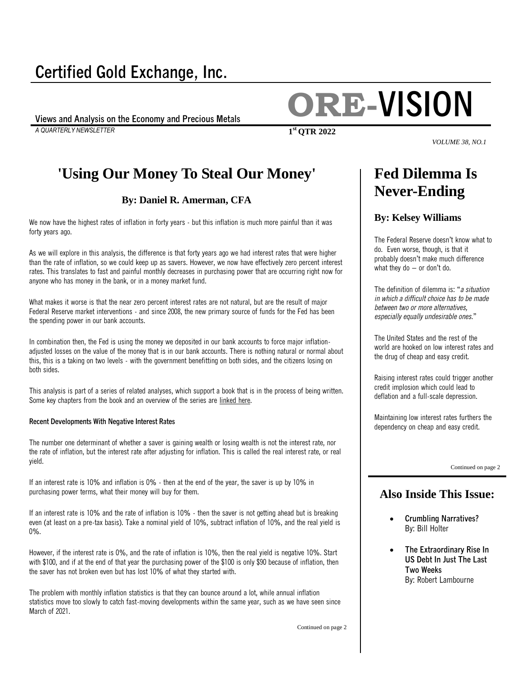### **Certified Gold Exchange, Inc.**

*A QUARTERLY NEWSLETTER* **1**

# **Views and Analysis on the Economy and Precious Metals ORE-VISION**

*VOLUME 38, NO.1*

### **'Using Our Money To Steal Our Money'**

#### **By: Daniel R. Amerman, CFA**

We now have the highest rates of inflation in forty years - but this inflation is much more painful than it was forty years ago.

As we will explore in this analysis, the difference is that forty years ago we had interest rates that were higher than the rate of inflation, so we could keep up as savers. However, we now have effectively zero percent interest rates. This translates to fast and painful monthly decreases in purchasing power that are occurring right now for anyone who has money in the bank, or in a money market fund.

What makes it worse is that the near zero percent interest rates are not natural, but are the result of major Federal Reserve market interventions - and since 2008, the new primary source of funds for the Fed has been the spending power in our bank accounts.

In combination then, the Fed is using the money we deposited in our bank accounts to force major inflationadjusted losses on the value of the money that is in our bank accounts. There is nothing natural or normal about this, this is a taking on two levels - with the government benefitting on both sides, and the citizens losing on both sides.

This analysis is part of a series of related analyses, which support a book that is in the process of being written. Some key chapters from the book and an overview of the series are [linked here.](http://danielamerman.com/va/ccc/RedBlackSeries.html)

#### **Recent Developments With Negative Interest Rates**

The number one determinant of whether a saver is gaining wealth or losing wealth is not the interest rate, nor the rate of inflation, but the interest rate after adjusting for inflation. This is called the real interest rate, or real yield.

If an interest rate is 10% and inflation is 0% - then at the end of the year, the saver is up by 10% in purchasing power terms, what their money will buy for them.

If an interest rate is 10% and the rate of inflation is 10% - then the saver is not getting ahead but is breaking even (at least on a pre-tax basis). Take a nominal yield of 10%, subtract inflation of 10%, and the real yield is 0%.

However, if the interest rate is 0%, and the rate of inflation is 10%, then the real yield is negative 10%. Start with \$100, and if at the end of that year the purchasing power of the \$100 is only \$90 because of inflation, then the saver has not broken even but has lost 10% of what they started with.

The problem with monthly inflation statistics is that they can bounce around a lot, while annual inflation statistics move too slowly to catch fast-moving developments within the same year, such as we have seen since March of 2021.

Continued on page 2

### **Fed Dilemma Is Never-Ending**

#### **By: Kelsey Williams**

The Federal Reserve doesn't know what to do. Even worse, though, is that it probably doesn't make much difference what they do – or don't do.

The definition of dilemma is: "*a situation in which a difficult choice has to be made between two or more alternatives, especially equally undesirable ones*."

The United States and the rest of the world are hooked on low interest rates and the drug of cheap and easy credit.

Raising interest rates could trigger another credit implosion which could lead to deflation and a full-scale depression.

Maintaining low interest rates furthers the dependency on cheap and easy credit.

Continued on page 2

#### **Also Inside This Issue:**

- **Crumbling Narratives?** By: Bill Holter
- **The Extraordinary Rise In US Debt In Just The Last Two Weeks** By: Robert Lambourne

**st QTR 2022**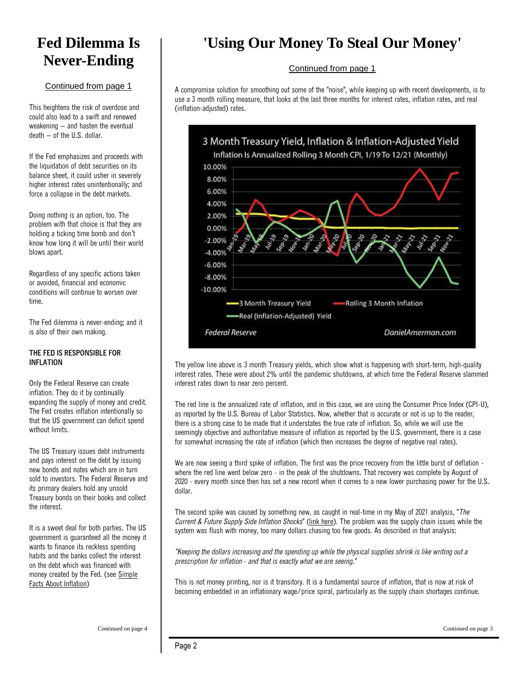### **Fed Dilemma Is Never-Ending**

#### Continued from page 1

This heightens the risk of overdose and could also lead to a swift and renewed weakening – and hasten the eventual death – of the U.S. dollar.

If the Fed emphasizes and proceeds with the liquidation of debt securities on its balance sheet, it could usher in severely higher interest rates unintentionally; and force a collapse in the debt markets.

Doing nothing is an option, too. The problem with that choice is that they are holding a ticking time bomb and don't know how long it will be until their world blows apart.

Regardless of any specific actions taken or avoided, financial and economic conditions will continue to worsen over time.

The Fed dilemma is never-ending; and it is also of their own making.

#### **THE FED IS RESPONSIBLE FOR INFLATION**

Only the Federal Reserve can create inflation. They do it by continually expanding the supply of money and credit. The Fed creates inflation intentionally so that the US government can deficit spend without limits.

The US Treasury issues debt instruments and pays interest on the debt by issuing new bonds and notes which are in turn sold to investors. The Federal Reserve and its primary dealers hold any unsold Treasury bonds on their books and collect the interest.

It is a sweet deal for both parties. The US government is guaranteed all the money it wants to finance its reckless spending habits and the banks collect the interest on the debt which was financed with money created by the Fed. (see [Simple](https://www.kelseywilliamsgold.com/simple-facts-about-inflation/)  [Facts About Inflation\)](https://www.kelseywilliamsgold.com/simple-facts-about-inflation/)

### **'Using Our Money To Steal Our Money'**

#### Continued from page 1

A compromise solution for smoothing out some of the "noise", while keeping up with recent developments, is to use a 3 month rolling measure, that looks at the last three months for interest rates, inflation rates, and real (inflation-adjusted) rates.



The yellow line above is 3 month Treasury yields, which show what is happening with short-term, high-quality interest rates. These were about 2% until the pandemic shutdowns, at which time the Federal Reserve slammed interest rates down to near zero percent.

The red line is the annualized rate of inflation, and in this case, we are using the Consumer Price Index (CPI-U), as reported by the U.S. Bureau of Labor Statistics. Now, whether that is accurate or not is up to the reader, there is a strong case to be made that it understates the true rate of inflation. So, while we will use the seemingly objective and authoritative measure of inflation as reported by the U.S. government, there is a case for somewhat increasing the rate of inflation (which then increases the degree of negative real rates).

We are now seeing a third spike of inflation. The first was the price recovery from the little burst of deflation where the red line went below zero - in the peak of the shutdowns. That recovery was complete by August of 2020 - every month since then has set a new record when it comes to a new lower purchasing power for the U.S. dollar.

The second spike was caused by something new, as caught in real-time in my May of 2021 analysis, "*The Current & Future Supply Side Inflation Shocks*" [\(link here\)](http://danielamerman.com/va/ccc/H7SupplyShock.html). The problem was the supply chain issues while the system was flush with money, too many dollars chasing too few goods. As described in that analysis:

*"Keeping the dollars increasing and the spending up while the physical supplies shrink is like writing out a prescription for inflation - and that is exactly what we are seeing."*

This is not money printing, nor is it transitory. It is a fundamental source of inflation, that is now at risk of becoming embedded in an inflationary wage/price spiral, particularly as the supply chain shortages continue.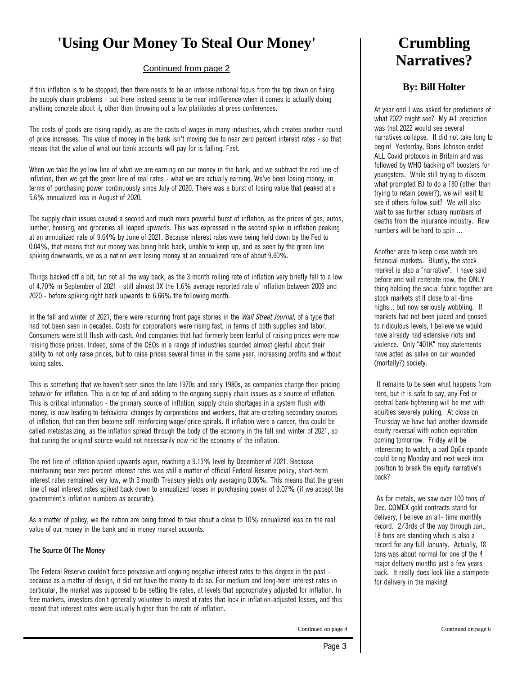### **'Using Our Money To Steal Our Money'**

#### Continued from page 2

If this inflation is to be stopped, then there needs to be an intense national focus from the top down on fixing the supply chain problems - but there instead seems to be near indifference when it comes to actually doing anything concrete about it, other than throwing out a few platitudes at press conferences.

The costs of goods are rising rapidly, as are the costs of wages in many industries, which creates another round of price increases. The value of money in the bank isn't moving due to near zero percent interest rates - so that means that the value of what our bank accounts will pay for is falling. Fast.

When we take the yellow line of what we are earning on our money in the bank, and we subtract the red line of inflation, then we get the green line of real rates - what we are actually earning. We've been losing money, in terms of purchasing power continuously since July of 2020. There was a burst of losing value that peaked at a 5.6% annualized loss in August of 2020.

The supply chain issues caused a second and much more powerful burst of inflation, as the prices of gas, autos, lumber, housing, and groceries all leaped upwards. This was expressed in the second spike in inflation peaking at an annualized rate of 9.64% by June of 2021. Because interest rates were being held down by the Fed to 0.04%, that means that our money was being held back, unable to keep up, and as seen by the green line spiking downwards, we as a nation were losing money at an annualized rate of about 9.60%.

Things backed off a bit, but not all the way back, as the 3 month rolling rate of inflation very briefly fell to a low of 4.70% in September of 2021 - still almost 3X the 1.6% average reported rate of inflation between 2009 and 2020 - before spiking right back upwards to 6.66% the following month.

In the fall and winter of 2021, there were recurring front page stories in the *Wall Street Journal,* of a type that had not been seen in decades. Costs for corporations were rising fast, in terms of both supplies and labor. Consumers were still flush with cash. And companies that had formerly been fearful of raising prices were now raising those prices. Indeed, some of the CEOs in a range of industries sounded almost gleeful about their ability to not only raise prices, but to raise prices several times in the same year, increasing profits and without losing sales.

This is something that we haven't seen since the late 1970s and early 1980s, as companies change their pricing behavior for inflation. This is on top of and adding to the ongoing supply chain issues as a source of inflation. This is critical information - the primary source of inflation, supply chain shortages in a system flush with money, is now leading to behavioral changes by corporations and workers, that are creating secondary sources of inflation, that can then become self-reinforcing wage/price spirals. If inflation were a cancer, this could be called metastasizing, as the inflation spread through the body of the economy in the fall and winter of 2021, so that curing the original source would not necessarily now rid the economy of the inflation.

The red line of inflation spiked upwards again, reaching a 9.13% level by December of 2021. Because maintaining near zero percent interest rates was still a matter of official Federal Reserve policy, short-term interest rates remained very low, with 3 month Treasury yields only averaging 0.06%. This means that the green line of real interest rates spiked back down to annualized losses in purchasing power of 9.07% (if we accept the government's inflation numbers as accurate).

As a matter of policy, we the nation are being forced to take about a close to 10% annualized loss on the real value of our money in the bank and in money market accounts.

#### **The Source Of The Money**

The Federal Reserve couldn't force pervasive and ongoing negative interest rates to this degree in the past because as a matter of design, it did not have the money to do so. For medium and long-term interest rates in particular, the market was supposed to be setting the rates, at levels that appropriately adjusted for inflation. In free markets, investors don't generally volunteer to invest at rates that lock in inflation-adjusted losses, and this meant that interest rates were usually higher than the rate of inflation.

**Crumbling Narratives?**

#### **By: [Bill Holter](https://www.gold-eagle.com/authors/bill-holter)**

At year end I was asked for predictions of what 2022 might see? My #1 prediction was that 2022 would see several narratives collapse. It did not take long to begin! Yesterday, Boris Johnson ended ALL Covid protocols in Britain and was followed by WHO backing off boosters for youngsters. While still trying to discern what prompted BJ to do a 180 (other than trying to retain power?), we will wait to see if others follow suit? We will also wait to see further actuary numbers of deaths from the insurance industry. Raw numbers will be hard to spin ...

Another area to keep close watch are financial markets. Bluntly, the stock market is also a "narrative". I have said before and will reiterate now, the ONLY thing holding the social fabric together are stock markets still close to all-time highs... but now seriously wobbling. If markets had not been juiced and goosed to ridiculous levels, I believe we would have already had extensive riots and violence. Only "401K" rosy statements have acted as salve on our wounded (mortally?) society.

It remains to be seen what happens from here, but it is safe to say, any Fed or central bank tightening will be met with equities severely puking. At close on Thursday we have had another downside equity reversal with option expiration coming tomorrow. Friday will be interesting to watch, a bad OpEx episode could bring Monday and next week into position to break the equity narrative's back?

As for metals, we saw over 100 tons of Dec. COMEX gold contracts stand for delivery, I believe an all- time monthly record. 2/3rds of the way through Jan., 18 tons are standing which is also a record for any full January. Actually, 18 tons was about normal for one of the 4 major delivery months just a few years back. It really does look like a stampede for delivery in the making!

Continued on page 4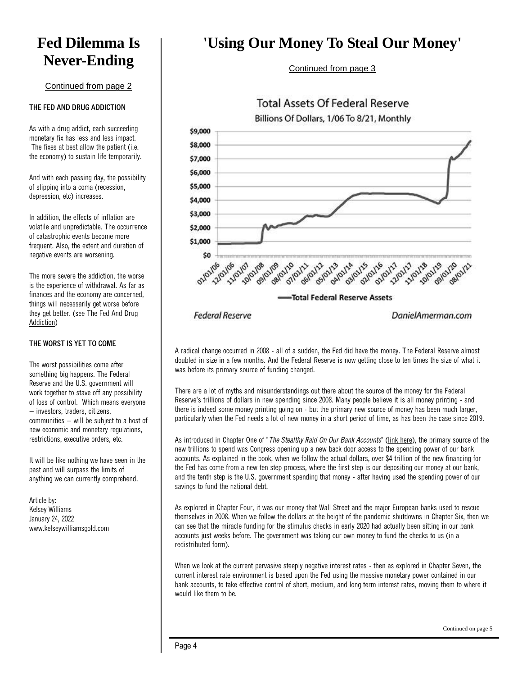### **Fed Dilemma Is Never-Ending**

#### Continued from page 2

#### **THE FED AND DRUG ADDICTION**

As with a drug addict, each succeeding monetary fix has less and less impact. The fixes at best allow the patient (i.e. the economy) to sustain life temporarily.

And with each passing day, the possibility of slipping into a coma (recession, depression, etc) increases.

In addition, the effects of inflation are volatile and unpredictable. The occurrence of catastrophic events become more frequent. Also, the extent and duration of negative events are worsening.

The more severe the addiction, the worse is the experience of withdrawal. As far as finances and the economy are concerned, things will necessarily get worse before they get better. (see [The Fed And Drug](https://www.kelseywilliamsgold.com/federal-reserve-drug-addiction/)  [Addiction\)](https://www.kelseywilliamsgold.com/federal-reserve-drug-addiction/)

#### **THE WORST IS YET TO COME**

The worst possibilities come after something big happens. The Federal Reserve and the U.S. government will work together to stave off any possibility of loss of control. Which means everyone – investors, traders, citizens, communities – will be subject to a host of new economic and monetary regulations, restrictions, executive orders, etc.

It will be like nothing we have seen in the past and will surpass the limits of anything we can currently comprehend.

Article by: Kelsey Williams January 24, 2022 www.kelseywilliamsgold.com

### **'Using Our Money To Steal Our Money'**

Continued from page 3



A radical change occurred in 2008 - all of a sudden, the Fed did have the money. The Federal Reserve almost doubled in size in a few months. And the Federal Reserve is now getting close to ten times the size of what it was before its primary source of funding changed.

There are a lot of myths and misunderstandings out there about the source of the money for the Federal Reserve's trillions of dollars in new spending since 2008. Many people believe it is all money printing - and there is indeed some money printing going on - but the primary new source of money has been much larger, particularly when the Fed needs a lot of new money in a short period of time, as has been the case since 2019.

As introduced in Chapter One of "*The Stealthy Raid On Our Bank Accounts*" [\(link here\)](http://danielamerman.com/va/HollowOutOne.html), the primary source of the new trillions to spend was Congress opening up a new back door access to the spending power of our bank accounts. As explained in the book, when we follow the actual dollars, over \$4 trillion of the new financing for the Fed has come from a new ten step process, where the first step is our depositing our money at our bank, and the tenth step is the U.S. government spending that money - after having used the spending power of our savings to fund the national debt.

As explored in Chapter Four, it was our money that Wall Street and the major European banks used to rescue themselves in 2008. When we follow the dollars at the height of the pandemic shutdowns in Chapter Six, then we can see that the miracle funding for the stimulus checks in early 2020 had actually been sitting in our bank accounts just weeks before. The government was taking our own money to fund the checks to us (in a redistributed form).

When we look at the current pervasive steeply negative interest rates - then as explored in Chapter Seven, the current interest rate environment is based upon the Fed using the massive monetary power contained in our bank accounts, to take effective control of short, medium, and long term interest rates, moving them to where it would like them to be.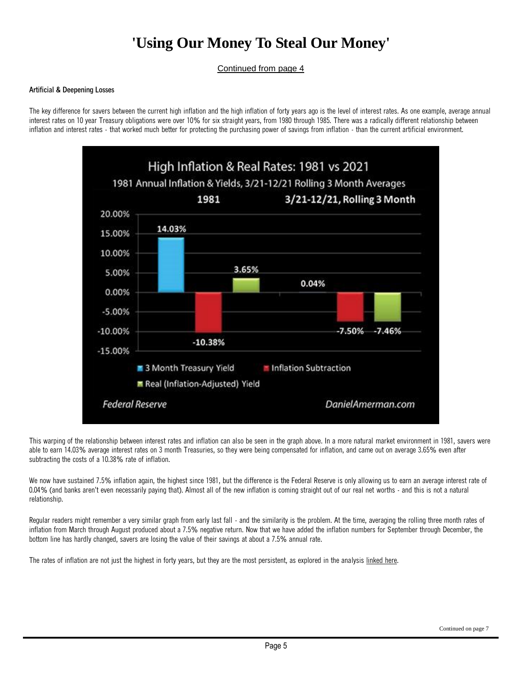### **'Using Our Money To Steal Our Money'**

Continued from page 4

#### **Artificial & Deepening Losses**

The key difference for savers between the current high inflation and the high inflation of forty years ago is the level of interest rates. As one example, average annual interest rates on 10 year Treasury obligations were over 10% for six straight years, from 1980 through 1985. There was a radically different relationship between inflation and interest rates - that worked much better for protecting the purchasing power of savings from inflation - than the current artificial environment.



This warping of the relationship between interest rates and inflation can also be seen in the graph above. In a more natural market environment in 1981, savers were able to earn 14.03% average interest rates on 3 month Treasuries, so they were being compensated for inflation, and came out on average 3.65% even after subtracting the costs of a 10.38% rate of inflation.

We now have sustained 7.5% inflation again, the highest since 1981, but the difference is the Federal Reserve is only allowing us to earn an average interest rate of 0.04% (and banks aren't even necessarily paying that). Almost all of the new inflation is coming straight out of our real net worths - and this is not a natural relationship.

Regular readers might remember a very similar graph from early last fall - and the similarity is the problem. At the time, averaging the rolling three month rates of inflation from March through August produced about a 7.5% negative return. Now that we have added the inflation numbers for September through December, the bottom line has hardly changed, savers are losing the value of their savings at about a 7.5% annual rate.

The rates of inflation are not just the highest in forty years, but they are the most persistent, as explored in the analysis [linked here.](http://danielamerman.com/va/ccc/I5PersistInflate.html)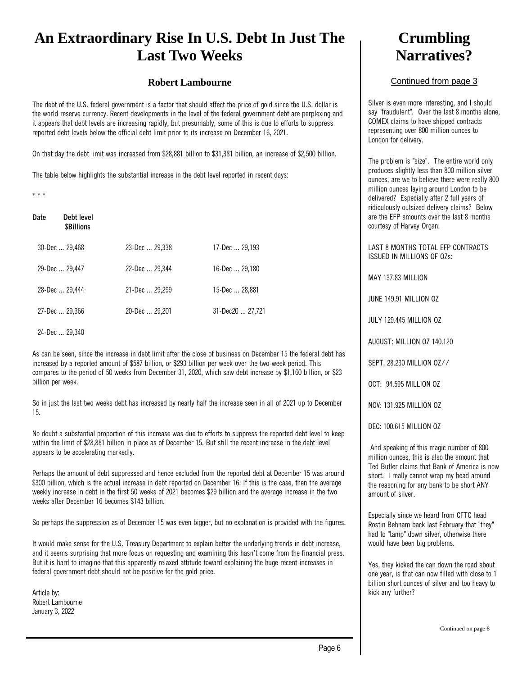### **An Extraordinary Rise In U.S. Debt In Just The Last Two Weeks**

#### **Robert Lambourne**

The debt of the U.S. federal government is a factor that should affect the price of gold since the U.S. dollar is the world reserve currency. Recent developments in the level of the federal government debt are perplexing and it appears that debt levels are increasing rapidly, but presumably, some of this is due to efforts to suppress reported debt levels below the official debt limit prior to its increase on December 16, 2021.

On that day the debt limit was increased from \$28,881 billion to \$31,381 billion, an increase of \$2,500 billion.

The table below highlights the substantial increase in the debt level reported in recent days:

\* \* \*

| Date | Debt level<br><b>\$Billions</b> |                |                  |
|------|---------------------------------|----------------|------------------|
|      | 30-Dec  29,468                  | 23-Dec  29,338 | 17-Dec  29,193   |
|      | 29-Dec  29,447                  | 22-Dec  29,344 | 16-Dec  29,180   |
|      | 28-Dec  29,444                  | 21-Dec  29,299 | 15-Dec  28,881   |
|      | 27-Dec  29,366                  | 20-Dec  29,201 | 31-Dec20  27,721 |

24-Dec ... 29,340

As can be seen, since the increase in debt limit after the close of business on December 15 the federal debt has increased by a reported amount of \$587 billion, or \$293 billion per week over the two-week period. This compares to the period of 50 weeks from December 31, 2020, which saw debt increase by \$1,160 billion, or \$23 billion per week.

So in just the last two weeks debt has increased by nearly half the increase seen in all of 2021 up to December 15.

No doubt a substantial proportion of this increase was due to efforts to suppress the reported debt level to keep within the limit of \$28,881 billion in place as of December 15. But still the recent increase in the debt level appears to be accelerating markedly.

Perhaps the amount of debt suppressed and hence excluded from the reported debt at December 15 was around \$300 billion, which is the actual increase in debt reported on December 16. If this is the case, then the average weekly increase in debt in the first 50 weeks of 2021 becomes \$29 billion and the average increase in the two weeks after December 16 becomes \$143 billion.

So perhaps the suppression as of December 15 was even bigger, but no explanation is provided with the figures.

It would make sense for the U.S. Treasury Department to explain better the underlying trends in debt increase, and it seems surprising that more focus on requesting and examining this hasn't come from the financial press. But it is hard to imagine that this apparently relaxed attitude toward explaining the huge recent increases in federal government debt should not be positive for the gold price.

Article by: Robert Lambourne January 3, 2022

### **Crumbling Narratives?**

#### Continued from page 3

Silver is even more interesting, and I should say "fraudulent". Over the last 8 months alone, COMEX claims to have shipped contracts representing over 800 million ounces to London for delivery.

The problem is "size". The entire world only produces slightly less than 800 million silver ounces, are we to believe there were really 800 million ounces laying around London to be delivered? Especially after 2 full years of ridiculously outsized delivery claims? Below are the EFP amounts over the last 8 months courtesy of Harvey Organ.

LAST 8 MONTHS TOTAL EFP CONTRACTS ISSUED IN MILLIONS OF OZs:

MAY 137.83 MILLION

JUNE 149.91 MILLION OZ

JULY 129.445 MILLION OZ

AUGUST: MILLION OZ 140.120

SEPT. 28.230 MILLION OZ//

OCT: 94.595 MILLION OZ

NOV: 131.925 MILLION OZ

DEC: 100.615 MILLION OZ

And speaking of this magic number of 800 million ounces, this is also the amount that Ted Butler claims that Bank of America is now short. I really cannot wrap my head around the reasoning for any bank to be short ANY amount of silver.

Especially since we heard from CFTC head Rostin Behnam back last February that "they" had to "tamp" down silver, otherwise there would have been big problems.

Yes, they kicked the can down the road about one year, is that can now filled with close to 1 billion short ounces of silver and too heavy to kick any further?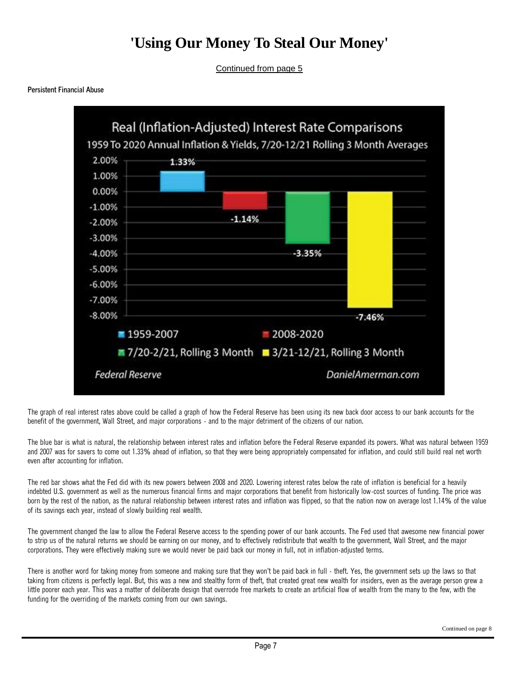### **'Using Our Money To Steal Our Money'**

Continued from page 5

**Persistent Financial Abuse**



The graph of real interest rates above could be called a graph of how the Federal Reserve has been using its new back door access to our bank accounts for the benefit of the government, Wall Street, and major corporations - and to the major detriment of the citizens of our nation.

The blue bar is what is natural, the relationship between interest rates and inflation before the Federal Reserve expanded its powers. What was natural between 1959 and 2007 was for savers to come out 1.33% ahead of inflation, so that they were being appropriately compensated for inflation, and could still build real net worth even after accounting for inflation.

The red bar shows what the Fed did with its new powers between 2008 and 2020. Lowering interest rates below the rate of inflation is beneficial for a heavily indebted U.S. government as well as the numerous financial firms and major corporations that benefit from historically low-cost sources of funding. The price was born by the rest of the nation, as the natural relationship between interest rates and inflation was flipped, so that the nation now on average lost 1.14% of the value of its savings each year, instead of slowly building real wealth.

The government changed the law to allow the Federal Reserve access to the spending power of our bank accounts. The Fed used that awesome new financial power to strip us of the natural returns we should be earning on our money, and to effectively redistribute that wealth to the government, Wall Street, and the major corporations. They were effectively making sure we would never be paid back our money in full, not in inflation-adjusted terms.

There is another word for taking money from someone and making sure that they won't be paid back in full - theft. Yes, the government sets up the laws so that taking from citizens is perfectly legal. But, this was a new and stealthy form of theft, that created great new wealth for insiders, even as the average person grew a little poorer each year. This was a matter of deliberate design that overrode free markets to create an artificial flow of wealth from the many to the few, with the funding for the overriding of the markets coming from our own savings.